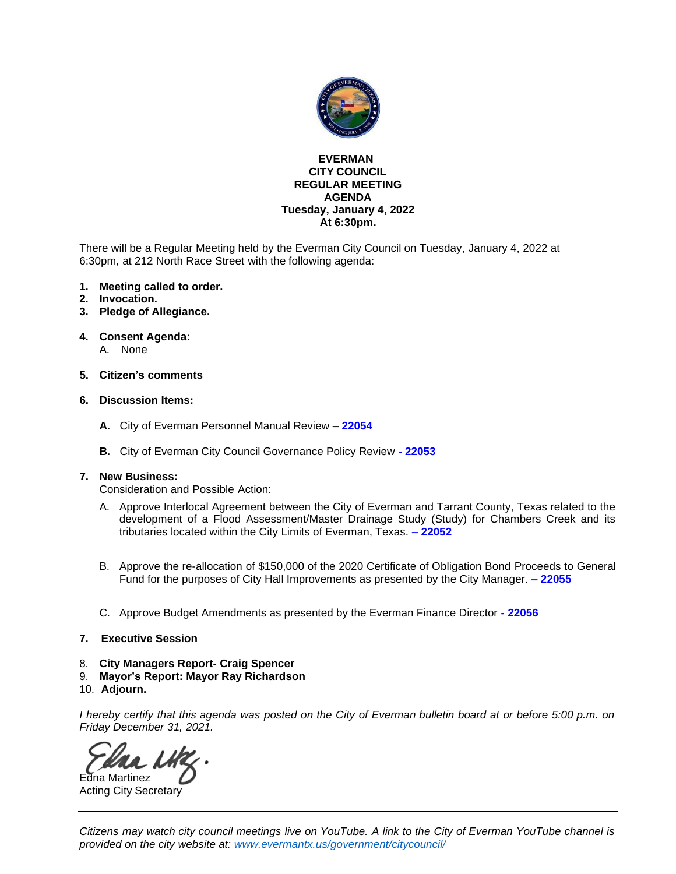

#### **EVERMAN CITY COUNCIL REGULAR MEETING AGENDA Tuesday, January 4, 2022 At 6:30pm.**

There will be a Regular Meeting held by the Everman City Council on Tuesday, January 4, 2022 at 6:30pm, at 212 North Race Street with the following agenda:

- **1. Meeting called to order.**
- **2. Invocation.**
- **3. Pledge of Allegiance.**
- **4. Consent Agenda:**
	- A. None
- **5. Citizen's comments**
- **6. Discussion Items:**
	- **A.** City of Everman Personnel Manual Review **– [22054](#page-2-0)**
	- **B.** City of Everman City Council Governance Policy Review **- [22053](#page-3-0)**

#### **7. New Business:**

Consideration and Possible Action:

- A. Approve Interlocal Agreement between the City of Everman and Tarrant County, Texas related to the development of a Flood Assessment/Master Drainage Study (Study) for Chambers Creek and its tributaries located within the City Limits of Everman, Texas. **– [22052](#page-4-0)**
- B. Approve the re-allocation of \$150,000 of the 2020 Certificate of Obligation Bond Proceeds to General Fund for the purposes of City Hall Improvements as presented by the City Manager. **– [22055](#page-5-0)**
- C. Approve Budget Amendments as presented by the Everman Finance Director **- [22056](#page-6-0)**
- **7. Executive Session**
- 8. **City Managers Report- Craig Spencer**
- 9. **Mayor's Report: Mayor Ray Richardson**
- 10. **Adjourn.**

I hereby certify that this agenda was posted on the City of Everman bulletin board at or before 5:00 p.m. on *Friday December 31, 2021.*

Edna Martinez Acting City Secretary

Citizens may watch city council meetings live on YouTube. A link to the City of Everman YouTube channel is *provided on the city website at: [www.evermantx.us/government/citycouncil/](http://www.evermantx.us/government/citycouncil/)*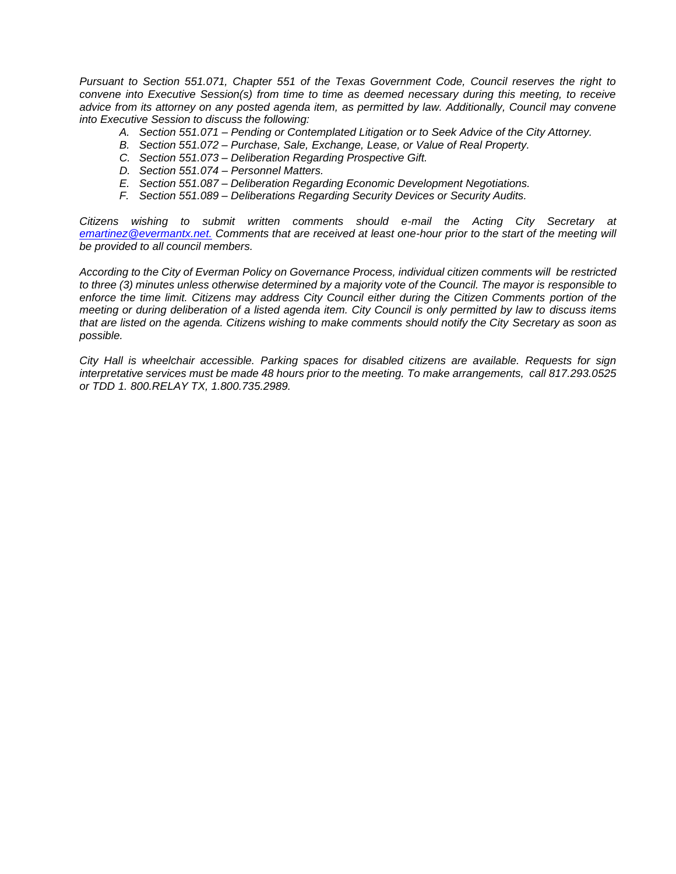*Pursuant to Section 551.071, Chapter 551 of the Texas Government Code, Council reserves the right to convene into Executive Session(s) from time to time as deemed necessary during this meeting, to receive advice from its attorney on any posted agenda item, as permitted by law. Additionally, Council may convene into Executive Session to discuss the following:*

- *A. Section 551.071 – Pending or Contemplated Litigation or to Seek Advice of the City Attorney.*
- *B. Section 551.072 – Purchase, Sale, Exchange, Lease, or Value of Real Property.*
- *C. Section 551.073 – Deliberation Regarding Prospective Gift.*
- *D. Section 551.074 – Personnel Matters.*
- *E. Section 551.087 – Deliberation Regarding Economic Development Negotiations.*
- *F. Section 551.089 – Deliberations Regarding Security Devices or Security Audits.*

*Citizens wishing to submit written comments should e-mail the Acting City Secretary at [emartinez@evermantx.net.](mailto:emartinez@evermantx.net.) Comments that are received at least one-hour prior to the start of the meeting will be provided to all council members.*

*According to the City of Everman Policy on Governance Process, individual citizen comments will be restricted to three (3) minutes unless otherwise determined by a majority vote of the Council. The mayor is responsible to enforce the time limit. Citizens may address City Council either during the Citizen Comments portion of the meeting or during deliberation of a listed agenda item. City Council is only permitted by law to discuss items that are listed on the agenda. Citizens wishing to make comments should notify the City Secretary as soon as possible.*

*City Hall is wheelchair accessible. Parking spaces for disabled citizens are available. Requests for sign interpretative services must be made 48 hours prior to the meeting. To make arrangements, call 817.293.0525 or TDD 1. 800.RELAY TX, 1.800.735.2989.*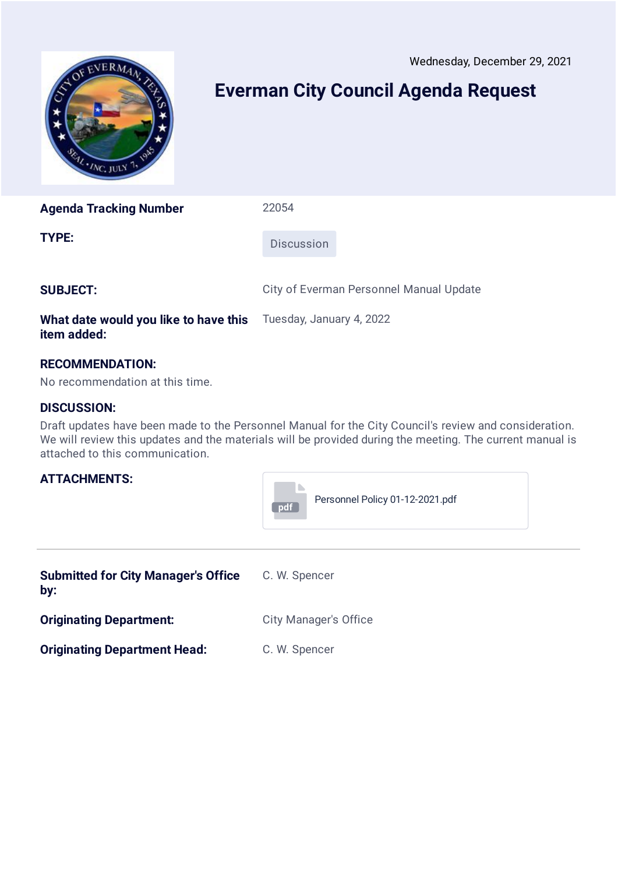Wednesday, December 29, 2021

<span id="page-2-0"></span>

## **Everman City Council Agenda Request**

**Agenda Tracking Number** 22054

**TYPE:** Discussion

**SUBJECT:** City of Everman Personnel Manual Update

#### **What date would you like to have this item added:** Tuesday, January 4, 2022

### **RECOMMENDATION:**

No recommendation at this time.

#### **DISCUSSION:**

Draft updates have been made to the Personnel Manual for the City Council's review and consideration. We will review this updates and the materials will be provided during the meeting. The current manual is attached to this communication.



| <b>Submitted for City Manager's Office</b><br>by: | C. W. Spencer                |
|---------------------------------------------------|------------------------------|
| <b>Originating Department:</b>                    | <b>City Manager's Office</b> |
| <b>Originating Department Head:</b>               | C. W. Spencer                |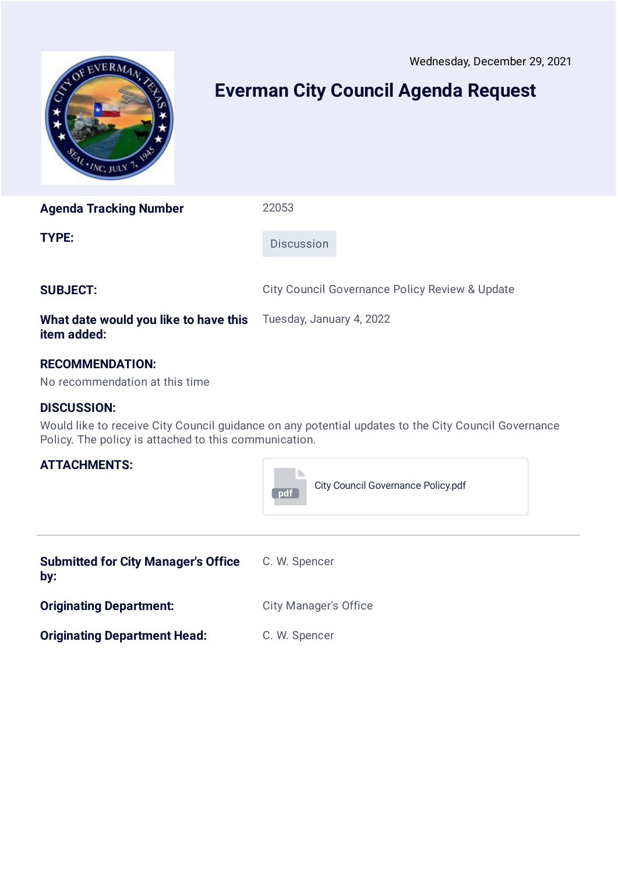Wednesday, December 29, 2021

<span id="page-3-0"></span>

# **Everman City Council Agenda Request**

**Agenda Tracking Number** 22053

**TYPE:** Discussion

**SUBJECT:** City Council Governance Policy Review & Update

#### **What date would you like to have this item added:** Tuesday, January 4, 2022

### **RECOMMENDATION:**

No recommendation at this time

### **DISCUSSION:**

Would like to receive City Council guidance on any potential updates to the City Council Governance Policy. The policy is attached to this communication.



| <b>Submitted for City Manager's Office</b><br>by: | C. W. Spencer                |
|---------------------------------------------------|------------------------------|
| <b>Originating Department:</b>                    | <b>City Manager's Office</b> |
| <b>Originating Department Head:</b>               | C. W. Spencer                |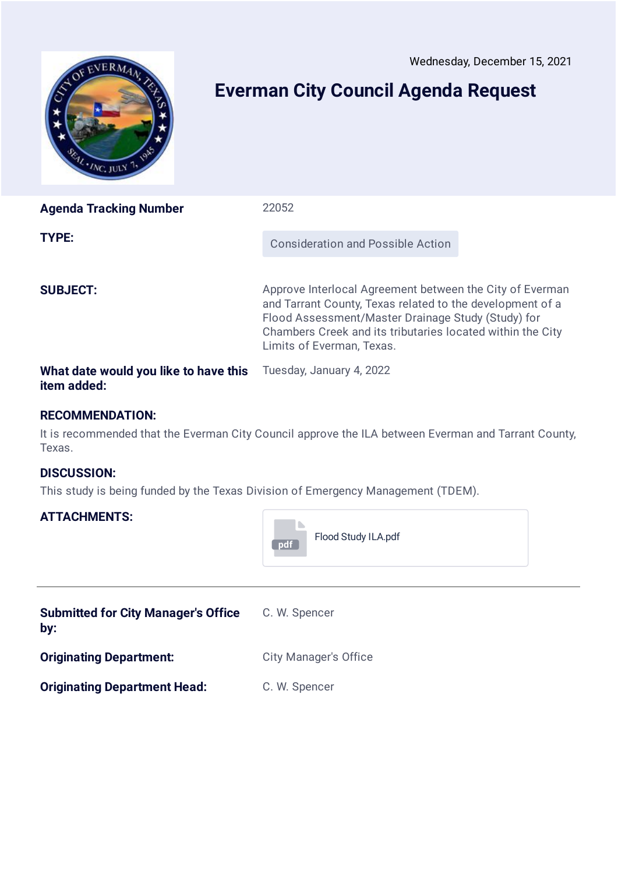Wednesday, December 15, 2021

<span id="page-4-0"></span>

## **Everman City Council Agenda Request**

| <b>Agenda Tracking Number</b>                        | 22052                                                                                                                                                                                                                                                                  |  |
|------------------------------------------------------|------------------------------------------------------------------------------------------------------------------------------------------------------------------------------------------------------------------------------------------------------------------------|--|
| <b>TYPE:</b>                                         | <b>Consideration and Possible Action</b>                                                                                                                                                                                                                               |  |
| <b>SUBJECT:</b>                                      | Approve Interlocal Agreement between the City of Everman<br>and Tarrant County, Texas related to the development of a<br>Flood Assessment/Master Drainage Study (Study) for<br>Chambers Creek and its tributaries located within the City<br>Limits of Everman, Texas. |  |
| What date would you like to have this<br>item added: | Tuesday, January 4, 2022                                                                                                                                                                                                                                               |  |

#### **RECOMMENDATION:**

It is recommended that the Everman City Council approve the ILA between Everman and Tarrant County, Texas.

**TE** 

### **DISCUSSION:**

This study is being funded by the Texas Division of Emergency Management (TDEM).

|                                                   | Flood Study ILA.pdf<br>pdf   |
|---------------------------------------------------|------------------------------|
| <b>Submitted for City Manager's Office</b><br>by: | C. W. Spencer                |
| <b>Originating Department:</b>                    | <b>City Manager's Office</b> |
| <b>Originating Department Head:</b>               | C. W. Spencer                |
|                                                   |                              |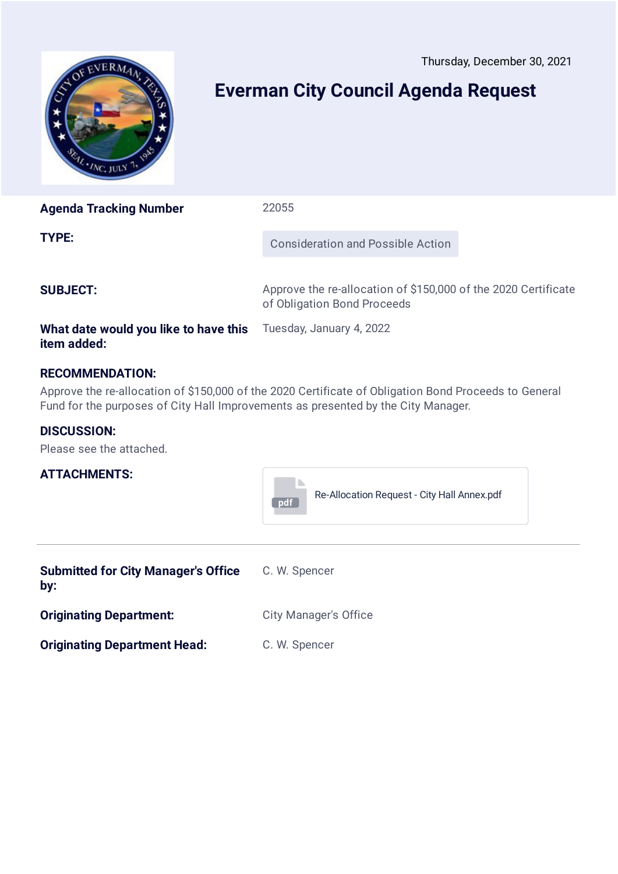Thursday, December 30, 2021

<span id="page-5-0"></span>

# **Everman City Council Agenda Request**

| <b>Agenda Tracking Number</b> | 22055                                    |
|-------------------------------|------------------------------------------|
| <b>TYPE:</b>                  | <b>Consideration and Possible Action</b> |
|                               |                                          |

**SUBJECT:** Approve the re-allocation of \$150,000 of the 2020 Certificate of Obligation Bond Proceeds

#### **What date would you like to have this** Tuesday, January 4, 2022 **item added:**

### **RECOMMENDATION:**

Approve the re-allocation of \$150,000 of the 2020 Certificate of Obligation Bond Proceeds to General Fund for the purposes of City Hall Improvements as presented by the City Manager.

#### **DISCUSSION:**

Please see the attached.

| <b>pdf</b> | Re-Allocation Request - City Hall Annex.pdf |
|------------|---------------------------------------------|

| <b>Submitted for City Manager's Office</b><br>by: | C. W. Spencer                |
|---------------------------------------------------|------------------------------|
| <b>Originating Department:</b>                    | <b>City Manager's Office</b> |
| <b>Originating Department Head:</b>               | C. W. Spencer                |